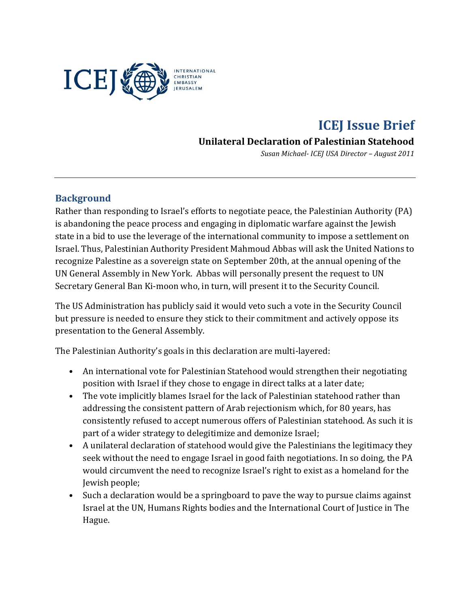

# **ICEJ Issue Brief**

## **Unilateral Declaration of Palestinian Statehood**

*Susan Michael- ICEJ USA Director – August 2011*

#### **Background**

Rather than responding to Israel's efforts to negotiate peace, the Palestinian Authority (PA) is abandoning the peace process and engaging in diplomatic warfare against the Jewish state in a bid to use the leverage of the international community to impose a settlement on Israel. Thus, Palestinian Authority President Mahmoud Abbas will ask the United Nations to recognize Palestine as a sovereign state on September 20th, at the annual opening of the UN General Assembly in New York. Abbas will personally present the request to UN Secretary General Ban Ki-moon who, in turn, will present it to the Security Council.

The US Administration has publicly said it would veto such a vote in the Security Council but pressure is needed to ensure they stick to their commitment and actively oppose its presentation to the General Assembly.

The Palestinian Authority's goals in this declaration are multi-layered:

- An international vote for Palestinian Statehood would strengthen their negotiating position with Israel if they chose to engage in direct talks at a later date;
- The vote implicitly blames Israel for the lack of Palestinian statehood rather than addressing the consistent pattern of Arab rejectionism which, for 80 years, has consistently refused to accept numerous offers of Palestinian statehood. As such it is part of a wider strategy to delegitimize and demonize Israel;
- A unilateral declaration of statehood would give the Palestinians the legitimacy they seek without the need to engage Israel in good faith negotiations. In so doing, the PA would circumvent the need to recognize Israel's right to exist as a homeland for the Jewish people;
- Such a declaration would be a springboard to pave the way to pursue claims against Israel at the UN, Humans Rights bodies and the International Court of Justice in The Hague.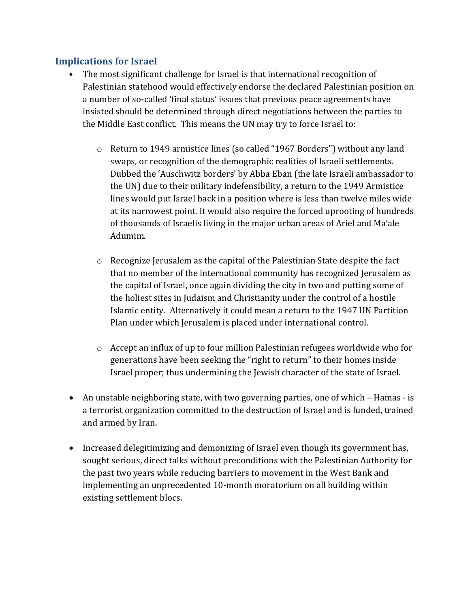#### **Implications for Israel**

- The most significant challenge for Israel is that international recognition of Palestinian statehood would effectively endorse the declared Palestinian position on a number of so-called 'final status' issues that previous peace agreements have insisted should be determined through direct negotiations between the parties to the Middle East conflict. This means the UN may try to force Israel to:
	- o Return to 1949 armistice lines (so called "1967 Borders") without any land swaps, or recognition of the demographic realities of Israeli settlements. Dubbed the 'Auschwitz borders' by Abba Eban (the late Israeli ambassador to the UN) due to their military indefensibility, a return to the 1949 Armistice lines would put Israel back in a position where is less than twelve miles wide at its narrowest point. It would also require the forced uprooting of hundreds of thousands of Israelis living in the major urban areas of Ariel and Ma'ale Adumim.
	- o Recognize Jerusalem as the capital of the Palestinian State despite the fact that no member of the international community has recognized Jerusalem as the capital of Israel, once again dividing the city in two and putting some of the holiest sites in Judaism and Christianity under the control of a hostile Islamic entity. Alternatively it could mean a return to the 1947 UN Partition Plan under which Jerusalem is placed under international control.
	- $\circ$  Accept an influx of up to four million Palestinian refugees worldwide who for generations have been seeking the "right to return" to their homes inside Israel proper; thus undermining the Jewish character of the state of Israel.
- An unstable neighboring state, with two governing parties, one of which Hamas is a terrorist organization committed to the destruction of Israel and is funded, trained and armed by Iran.
- Increased delegitimizing and demonizing of Israel even though its government has, sought serious, direct talks without preconditions with the Palestinian Authority for the past two years while reducing barriers to movement in the West Bank and implementing an unprecedented 10-month moratorium on all building within existing settlement blocs.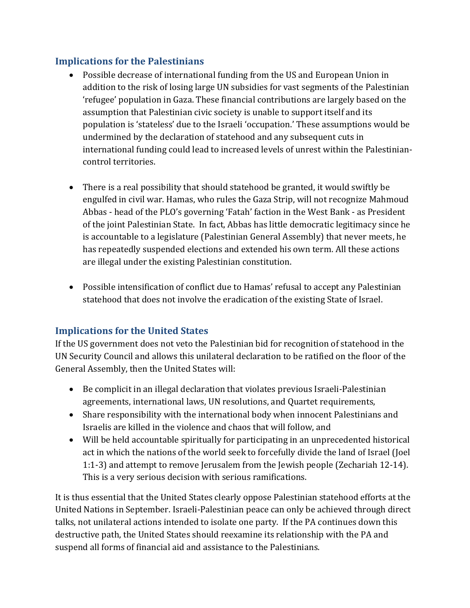## **Implications for the Palestinians**

- Possible decrease of international funding from the US and European Union in addition to the risk of losing large UN subsidies for vast segments of the Palestinian 'refugee' population in Gaza. These financial contributions are largely based on the assumption that Palestinian civic society is unable to support itself and its population is 'stateless' due to the Israeli 'occupation.' These assumptions would be undermined by the declaration of statehood and any subsequent cuts in international funding could lead to increased levels of unrest within the Palestiniancontrol territories.
- There is a real possibility that should statehood be granted, it would swiftly be engulfed in civil war. Hamas, who rules the Gaza Strip, will not recognize Mahmoud Abbas - head of the PLO's governing 'Fatah' faction in the West Bank - as President of the joint Palestinian State. In fact, Abbas has little democratic legitimacy since he is accountable to a legislature (Palestinian General Assembly) that never meets, he has repeatedly suspended elections and extended his own term. All these actions are illegal under the existing Palestinian constitution.
- Possible intensification of conflict due to Hamas' refusal to accept any Palestinian statehood that does not involve the eradication of the existing State of Israel.

# **Implications for the United States**

If the US government does not veto the Palestinian bid for recognition of statehood in the UN Security Council and allows this unilateral declaration to be ratified on the floor of the General Assembly, then the United States will:

- Be complicit in an illegal declaration that violates previous Israeli-Palestinian agreements, international laws, UN resolutions, and Quartet requirements,
- Share responsibility with the international body when innocent Palestinians and Israelis are killed in the violence and chaos that will follow, and
- Will be held accountable spiritually for participating in an unprecedented historical act in which the nations of the world seek to forcefully divide the land of Israel (Joel 1:1-3) and attempt to remove Jerusalem from the Jewish people (Zechariah 12-14). This is a very serious decision with serious ramifications.

It is thus essential that the United States clearly oppose Palestinian statehood efforts at the United Nations in September. Israeli-Palestinian peace can only be achieved through direct talks, not unilateral actions intended to isolate one party. If the PA continues down this destructive path, the United States should reexamine its relationship with the PA and suspend all forms of financial aid and assistance to the Palestinians.